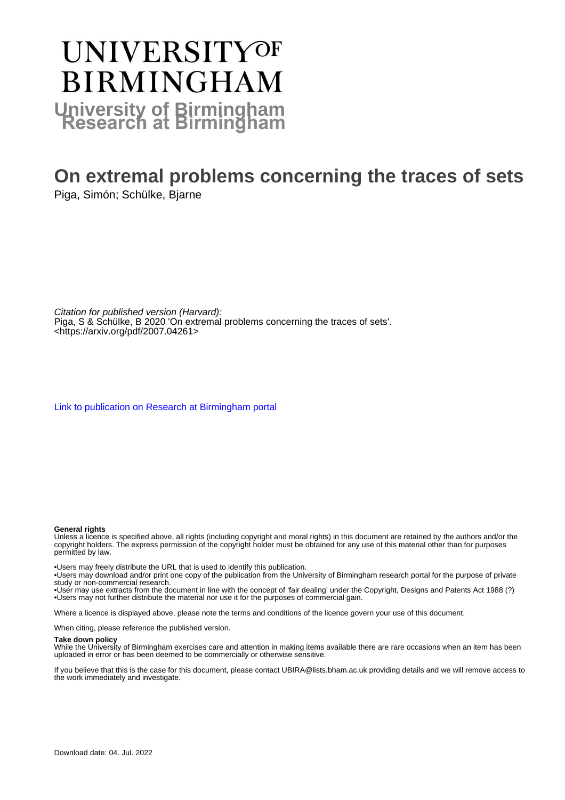# **UNIVERSITYOF BIRMINGHAM University of Birmingham**

# **On extremal problems concerning the traces of sets**

Piga, Simón; Schülke, Bjarne

Citation for published version (Harvard): Piga, S & Schülke, B 2020 'On extremal problems concerning the traces of sets'. <<https://arxiv.org/pdf/2007.04261>>

[Link to publication on Research at Birmingham portal](https://birmingham.elsevierpure.com/en/publications/c021ec0b-95d6-4053-99d3-ffefd052204b)

#### **General rights**

Unless a licence is specified above, all rights (including copyright and moral rights) in this document are retained by the authors and/or the copyright holders. The express permission of the copyright holder must be obtained for any use of this material other than for purposes permitted by law.

• Users may freely distribute the URL that is used to identify this publication.

• Users may download and/or print one copy of the publication from the University of Birmingham research portal for the purpose of private study or non-commercial research.

• User may use extracts from the document in line with the concept of 'fair dealing' under the Copyright, Designs and Patents Act 1988 (?) • Users may not further distribute the material nor use it for the purposes of commercial gain.

Where a licence is displayed above, please note the terms and conditions of the licence govern your use of this document.

When citing, please reference the published version.

#### **Take down policy**

While the University of Birmingham exercises care and attention in making items available there are rare occasions when an item has been uploaded in error or has been deemed to be commercially or otherwise sensitive.

If you believe that this is the case for this document, please contact UBIRA@lists.bham.ac.uk providing details and we will remove access to the work immediately and investigate.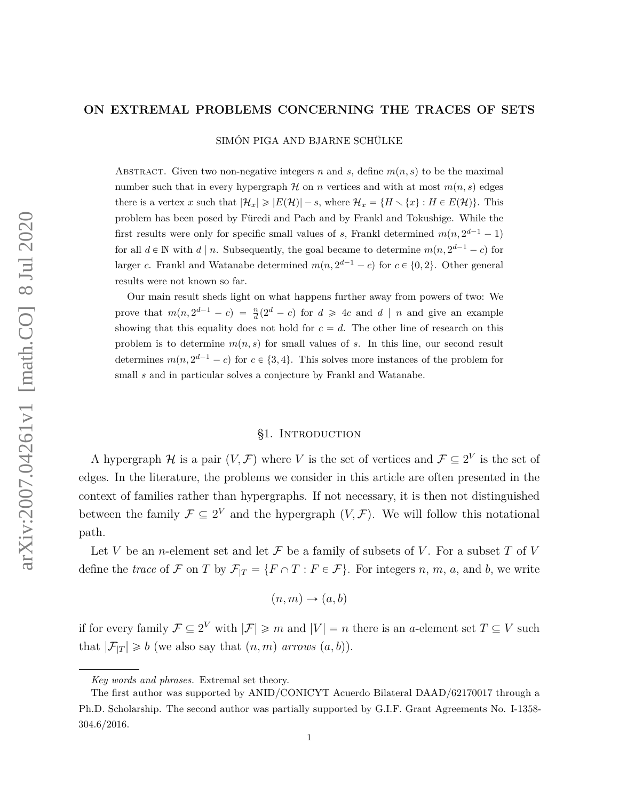#### **ON EXTREMAL PROBLEMS CONCERNING THE TRACES OF SETS**

SIMÓN PIGA AND BJARNE SCHÜLKE

ABSTRACT. Given two non-negative integers *n* and *s*, define  $m(n, s)$  to be the maximal number such that in every hypergraph  $H$  on *n* vertices and with at most  $m(n, s)$  edges there is a vertex *x* such that  $|\mathcal{H}_x| \geqslant |E(\mathcal{H})| - s$ , where  $\mathcal{H}_x = \{H \setminus \{x\} : H \in E(\mathcal{H})\}$ . This problem has been posed by Füredi and Pach and by Frankl and Tokushige. While the first results were only for specific small values of *s*, Frankl determined  $m(n, 2^{d-1} - 1)$ for all  $d \in \mathbb{N}$  with  $d | n$ . Subsequently, the goal became to determine  $m(n, 2^{d-1} - c)$  for larger *c*. Frankl and Watanabe determined  $m(n, 2^{d-1} - c)$  for  $c \in \{0, 2\}$ . Other general results were not known so far.

Our main result sheds light on what happens further away from powers of two: We prove that  $m(n, 2^{d-1} - c) = \frac{n}{d}(2^d - c)$  for  $d \ge 4c$  and  $d \mid n$  and give an example showing that this equality does not hold for  $c = d$ . The other line of research on this problem is to determine  $m(n, s)$  for small values of *s*. In this line, our second result determines  $m(n, 2^{d-1} - c)$  for  $c \in \{3, 4\}$ . This solves more instances of the problem for small *s* and in particular solves a conjecture by Frankl and Watanabe.

## §1. INTRODUCTION

<span id="page-1-0"></span>A hypergraph  $\mathcal H$  is a pair  $(V, \mathcal F)$  where *V* is the set of vertices and  $\mathcal F \subseteq 2^V$  is the set of edges. In the literature, the problems we consider in this article are often presented in the context of families rather than hypergraphs. If not necessary, it is then not distinguished between the family  $\mathcal{F} \subseteq 2^V$  and the hypergraph  $(V, \mathcal{F})$ . We will follow this notational path.

Let *V* be an *n*-element set and let  $\mathcal F$  be a family of subsets of *V*. For a subset *T* of *V* define the *trace* of  $\mathcal F$  on  $T$  by  $\mathcal F_{|T} = \{F \cap T : F \in \mathcal F\}$ . For integers *n*, *m*, *a*, and *b*, we write

$$
(n,m)\to (a,b)
$$

if for every family  $\mathcal{F} \subseteq 2^V$  with  $|\mathcal{F}| \geq m$  and  $|V| = n$  there is an *a*-element set  $T \subseteq V$  such that  $|\mathcal{F}_{|T}| \geq b$  (we also say that  $(n, m)$  *arrows*  $(a, b)$ ).

*Key words and phrases.* Extremal set theory.

The first author was supported by ANID/CONICYT Acuerdo Bilateral DAAD/62170017 through a Ph.D. Scholarship. The second author was partially supported by G.I.F. Grant Agreements No. I-1358- 304.6/2016.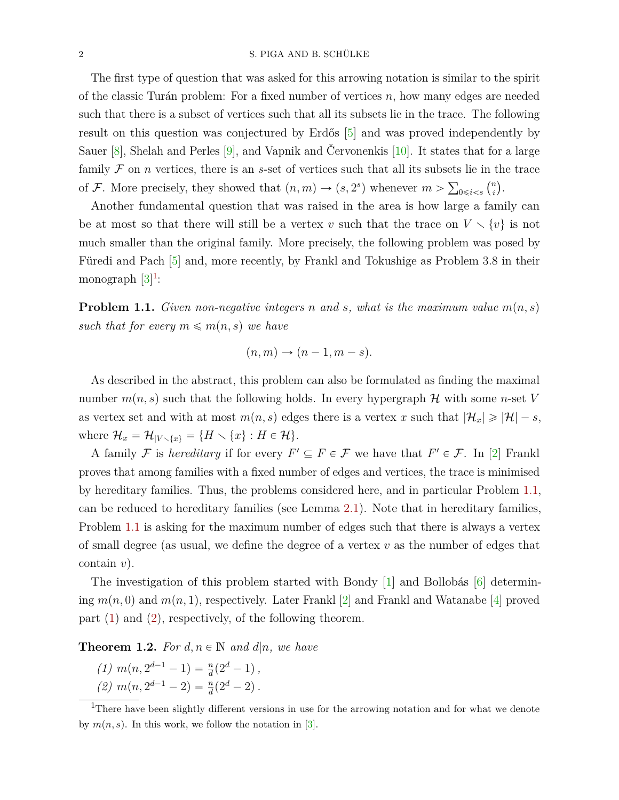The first type of question that was asked for this arrowing notation is similar to the spirit of the classic Turán problem: For a fixed number of vertices *n*, how many edges are needed such that there is a subset of vertices such that all its subsets lie in the trace. The following result on this question was conjectured by Erdős [\[5\]](#page-16-0) and was proved independently by Sauer [\[8\]](#page-16-1), Shelah and Perles [\[9\]](#page-16-2), and Vapnik and Červonenkis [\[10\]](#page-16-3). It states that for a large family  $\mathcal F$  on *n* vertices, there is an *s*-set of vertices such that all its subsets lie in the trace of F. More precisely, they showed that  $(n, m) \rightarrow (s, 2<sup>s</sup>)$  whenever  $m > \sum_{0 \leq i < s}$ *n*  $\binom{n}{i}$ .

Another fundamental question that was raised in the area is how large a family can be at most so that there will still be a vertex *v* such that the trace on  $V \setminus \{v\}$  is not much smaller than the original family. More precisely, the following problem was posed by Füredi and Pach [\[5\]](#page-16-0) and, more recently, by Frankl and Tokushige as Problem 3.8 in their monograph  $[3]^1$  $[3]^1$  $[3]^1$ :

<span id="page-2-1"></span>**Problem 1.1.** *Given non-negative integers n and s, what is the maximum value*  $m(n, s)$ *such that for every*  $m \leq m(n, s)$  *we have* 

$$
(n,m)\to (n-1,m-s).
$$

As described in the abstract, this problem can also be formulated as finding the maximal number  $m(n, s)$  such that the following holds. In every hypergraph  $H$  with some *n*-set *V* as vertex set and with at most  $m(n, s)$  edges there is a vertex *x* such that  $|\mathcal{H}_x| \ge |\mathcal{H}| - s$ , where  $\mathcal{H}_x = \mathcal{H}_{|V \setminus \{x\}} = \{H \setminus \{x\} : H \in \mathcal{H}\}.$ 

A family F is *hereditary* if for every  $F' \subseteq F \in \mathcal{F}$  we have that  $F' \in \mathcal{F}$ . In [\[2\]](#page-15-0) Frankl proves that among families with a fixed number of edges and vertices, the trace is minimised by hereditary families. Thus, the problems considered here, and in particular Problem [1.1,](#page-2-1) can be reduced to hereditary families (see Lemma [2.1\)](#page-5-0). Note that in hereditary families, Problem [1.1](#page-2-1) is asking for the maximum number of edges such that there is always a vertex of small degree (as usual, we define the degree of a vertex *v* as the number of edges that contain *v*).

The investigation of this problem started with Bondy [\[1\]](#page-15-1) and Bollobás [\[6\]](#page-16-5) determining  $m(n,0)$  and  $m(n,1)$ , respectively. Later Frankl [\[2\]](#page-15-0) and Frankl and Watanabe [\[4\]](#page-16-6) proved part [\(1\)](#page-2-2) and [\(2\)](#page-2-3), respectively, of the following theorem.

<span id="page-2-4"></span><span id="page-2-2"></span>**Theorem 1.2.** For  $d, n \in \mathbb{N}$  and  $d|n$ , we have

<span id="page-2-3"></span> $(1)$   $m(n, 2^{d-1} - 1) = \frac{n}{d}(2^d - 1)$ ,  $(2)$   $m(n, 2^{d-1} - 2) = \frac{n}{d}(2^d - 2)$ .

<span id="page-2-0"></span><sup>&</sup>lt;sup>1</sup>There have been slightly different versions in use for the arrowing notation and for what we denote by  $m(n, s)$ . In this work, we follow the notation in [\[3\]](#page-16-4).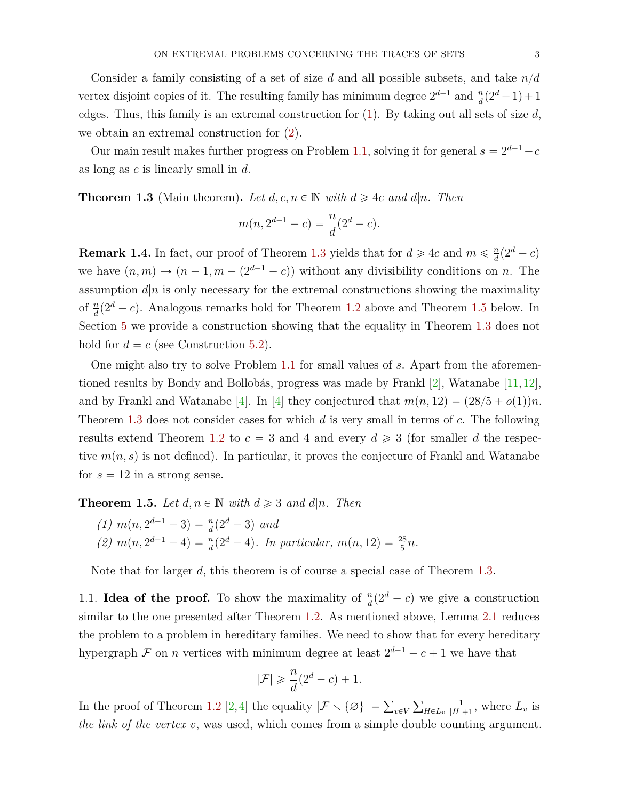Consider a family consisting of a set of size *d* and all possible subsets, and take  $n/d$ vertex disjoint copies of it. The resulting family has minimum degree  $2^{d-1}$  and  $\frac{n}{d}(2^d-1)+1$ edges. Thus, this family is an extremal construction for [\(1\)](#page-2-2). By taking out all sets of size *d*, we obtain an extremal construction for [\(2\)](#page-2-3).

Our main result makes further progress on Problem [1.1,](#page-2-1) solving it for general  $s = 2^{d-1} - c$ as long as *c* is linearly small in *d*.

<span id="page-3-0"></span>**Theorem 1.3** (Main theorem). Let  $d, c, n \in \mathbb{N}$  with  $d \geq 4c$  and  $d|n$ . Then

$$
m(n, 2^{d-1} - c) = \frac{n}{d}(2^d - c).
$$

<span id="page-3-3"></span>**Remark 1.4.** In fact, our proof of Theorem [1.3](#page-3-0) yields that for  $d \ge 4c$  and  $m \le \frac{n}{d}$  $\frac{n}{d}(2^d-c)$ we have  $(n, m) \rightarrow (n-1, m-(2^{d-1}-c))$  without any divisibility conditions on *n*. The assumption  $d|n$  is only necessary for the extremal constructions showing the maximality of  $\frac{n}{d}(2^d - c)$ . Analogous remarks hold for Theorem [1.2](#page-2-4) above and Theorem [1.5](#page-3-1) below. In Section [5](#page-13-0) we provide a construction showing that the equality in Theorem [1.3](#page-3-0) does not hold for  $d = c$  (see Construction [5.2\)](#page-14-0).

One might also try to solve Problem [1.1](#page-2-1) for small values of *s*. Apart from the aforementioned results by Bondy and Bollobás, progress was made by Frankl [\[2\]](#page-15-0), Watanabe [\[11,](#page-16-7) [12\]](#page-16-8), and by Frankl and Watanabe [\[4\]](#page-16-6). In [4] they conjectured that  $m(n, 12) = (28/5 + o(1))n$ . Theorem [1.3](#page-3-0) does not consider cases for which *d* is very small in terms of *c*. The following results extend Theorem [1.2](#page-2-4) to  $c = 3$  and 4 and every  $d \ge 3$  (for smaller d the respective  $m(n, s)$  is not defined). In particular, it proves the conjecture of Frankl and Watanabe for  $s = 12$  in a strong sense.

<span id="page-3-1"></span>**Theorem 1.5.** Let  $d, n \in \mathbb{N}$  with  $d \geq 3$  and  $d|n$ . Then

 $(1)$  *m*(*n*,  $2^{d-1} - 3$ ) =  $\frac{n}{d}(2^d - 3)$  *and* (2)  $m(n, 2^{d-1} - 4) = \frac{n}{d}(2^d - 4)$ . In particular,  $m(n, 12) = \frac{28}{5}n$ .

Note that for larger *d*, this theorem is of course a special case of Theorem [1.3.](#page-3-0)

<span id="page-3-2"></span>1.1. **Idea of the proof.** To show the maximality of  $\frac{n}{d}(2^d - c)$  we give a construction similar to the one presented after Theorem [1.2.](#page-2-4) As mentioned above, Lemma [2.1](#page-5-0) reduces the problem to a problem in hereditary families. We need to show that for every hereditary hypergraph  $\mathcal F$  on *n* vertices with minimum degree at least  $2^{d-1} - c + 1$  we have that

$$
|\mathcal{F}| \geqslant \frac{n}{d}(2^d - c) + 1.
$$

In the proof of Theorem [1.2](#page-2-4) [\[2,](#page-15-0) [4\]](#page-16-6) the equality  $|\mathcal{F} \setminus {\emptyset}| = \sum_{v \in V}$  $H \in L_v$ 1  $\frac{1}{|H|+1}$ , where  $L_v$  is *the link of the vertex v*, was used, which comes from a simple double counting argument.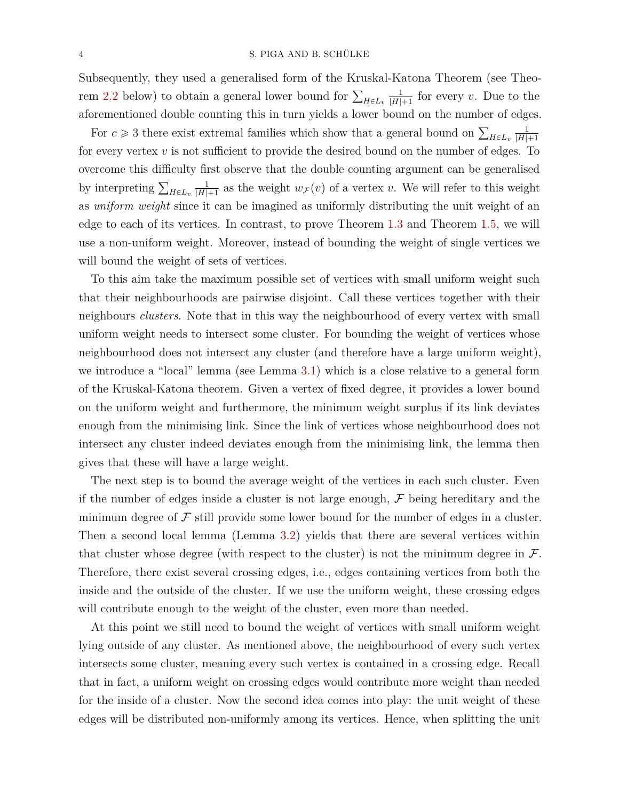Subsequently, they used a generalised form of the Kruskal-Katona Theorem (see Theo-rem [2.2](#page-6-0) below) to obtain a general lower bound for  $\sum_{H \in L_v}$ 1  $\frac{1}{|H|+1}$  for every *v*. Due to the aforementioned double counting this in turn yields a lower bound on the number of edges.

For  $c \geq 3$  there exist extremal families which show that a general bound on  $\sum_{H \in L_v}$ 1  $|H|+1$ for every vertex *v* is not sufficient to provide the desired bound on the number of edges. To overcome this difficulty first observe that the double counting argument can be generalised by interpreting  $\sum_{H \in L_v}$ 1  $\frac{1}{|H|+1}$  as the weight  $w_F(v)$  of a vertex *v*. We will refer to this weight as *uniform weight* since it can be imagined as uniformly distributing the unit weight of an edge to each of its vertices. In contrast, to prove Theorem [1.3](#page-3-0) and Theorem [1.5,](#page-3-1) we will use a non-uniform weight. Moreover, instead of bounding the weight of single vertices we will bound the weight of sets of vertices.

To this aim take the maximum possible set of vertices with small uniform weight such that their neighbourhoods are pairwise disjoint. Call these vertices together with their neighbours *clusters*. Note that in this way the neighbourhood of every vertex with small uniform weight needs to intersect some cluster. For bounding the weight of vertices whose neighbourhood does not intersect any cluster (and therefore have a large uniform weight), we introduce a "local" lemma (see Lemma [3.1\)](#page-6-1) which is a close relative to a general form of the Kruskal-Katona theorem. Given a vertex of fixed degree, it provides a lower bound on the uniform weight and furthermore, the minimum weight surplus if its link deviates enough from the minimising link. Since the link of vertices whose neighbourhood does not intersect any cluster indeed deviates enough from the minimising link, the lemma then gives that these will have a large weight.

The next step is to bound the average weight of the vertices in each such cluster. Even if the number of edges inside a cluster is not large enough,  $\mathcal F$  being hereditary and the minimum degree of  $\mathcal F$  still provide some lower bound for the number of edges in a cluster. Then a second local lemma (Lemma [3.2\)](#page-7-0) yields that there are several vertices within that cluster whose degree (with respect to the cluster) is not the minimum degree in  $\mathcal{F}$ . Therefore, there exist several crossing edges, i.e., edges containing vertices from both the inside and the outside of the cluster. If we use the uniform weight, these crossing edges will contribute enough to the weight of the cluster, even more than needed.

At this point we still need to bound the weight of vertices with small uniform weight lying outside of any cluster. As mentioned above, the neighbourhood of every such vertex intersects some cluster, meaning every such vertex is contained in a crossing edge. Recall that in fact, a uniform weight on crossing edges would contribute more weight than needed for the inside of a cluster. Now the second idea comes into play: the unit weight of these edges will be distributed non-uniformly among its vertices. Hence, when splitting the unit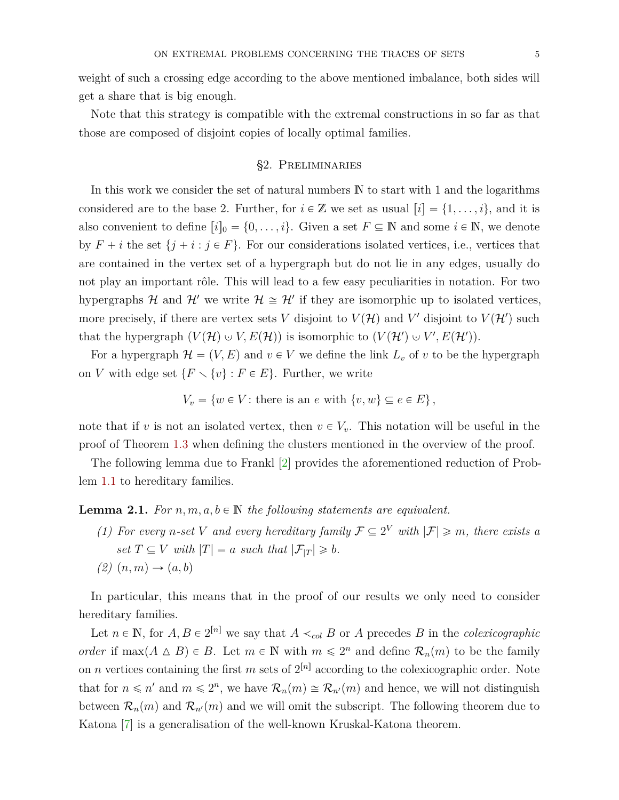weight of such a crossing edge according to the above mentioned imbalance, both sides will get a share that is big enough.

Note that this strategy is compatible with the extremal constructions in so far as that those are composed of disjoint copies of locally optimal families.

#### §2. Preliminaries

<span id="page-5-1"></span>In this work we consider the set of natural numbers  $\mathbb N$  to start with 1 and the logarithms considered are to the base 2. Further, for  $i \in \mathbb{Z}$  we set as usual  $[i] = \{1, \ldots, i\}$ , and it is also convenient to define  $[i]_0 = \{0, \ldots, i\}$ . Given a set  $F \subseteq \mathbb{N}$  and some  $i \in \mathbb{N}$ , we denote by  $F + i$  the set  $\{j + i : j \in F\}$ . For our considerations isolated vertices, i.e., vertices that are contained in the vertex set of a hypergraph but do not lie in any edges, usually do not play an important rôle. This will lead to a few easy peculiarities in notation. For two hypergraphs  $H$  and  $H'$  we write  $H \cong H'$  if they are isomorphic up to isolated vertices, more precisely, if there are vertex sets *V* disjoint to  $V(\mathcal{H})$  and  $V'$  disjoint to  $V(\mathcal{H}')$  such that the hypergraph  $(V(H) \cup V, E(H))$  is isomorphic to  $(V(H') \cup V', E(H'))$ .

For a hypergraph  $\mathcal{H} = (V, E)$  and  $v \in V$  we define the link  $L_v$  of v to be the hypergraph on *V* with edge set  $\{F \setminus \{v\} : F \in E\}$ . Further, we write

$$
V_v = \{ w \in V : \text{there is an } e \text{ with } \{v, w\} \subseteq e \in E \},
$$

note that if *v* is not an isolated vertex, then  $v \in V_v$ . This notation will be useful in the proof of Theorem [1.3](#page-3-0) when defining the clusters mentioned in the overview of the proof.

The following lemma due to Frankl [\[2\]](#page-15-0) provides the aforementioned reduction of Problem [1.1](#page-2-1) to hereditary families.

<span id="page-5-0"></span>**Lemma 2.1.** For  $n, m, a, b \in \mathbb{N}$  the following statements are equivalent.

- *(1)* For every *n*-set *V* and every hereditary family  $\mathcal{F} \subseteq 2^V$  with  $|\mathcal{F}| \geq m$ , there exists a *set*  $T \subseteq V$  *with*  $|T| = a$  *such that*  $|\mathcal{F}_{|T}| \geq b$ *.*
- <span id="page-5-2"></span> $(2)$   $(n, m) \rightarrow (a, b)$

In particular, this means that in the proof of our results we only need to consider hereditary families.

Let  $n \in \mathbb{N}$ , for  $A, B \in 2^{[n]}$  we say that  $A \prec_{col} B$  or  $A$  precedes  $B$  in the *colexicographic order* if  $\max(A \triangle B) \in B$ . Let  $m \in \mathbb{N}$  with  $m \leq 2^n$  and define  $\mathcal{R}_n(m)$  to be the family on *n* vertices containing the first *m* sets of  $2^{[n]}$  according to the colexicographic order. Note that for  $n \le n'$  and  $m \le 2^n$ , we have  $\mathcal{R}_n(m) \cong \mathcal{R}_{n'}(m)$  and hence, we will not distinguish between  $\mathcal{R}_n(m)$  and  $\mathcal{R}_{n'}(m)$  and we will omit the subscript. The following theorem due to Katona [\[7\]](#page-16-9) is a generalisation of the well-known Kruskal-Katona theorem.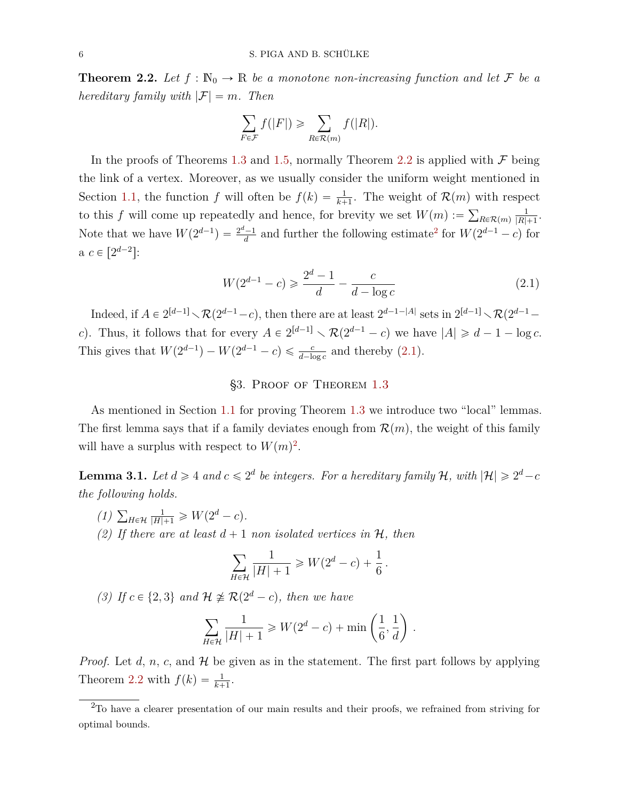<span id="page-6-0"></span>**Theorem 2.2.** Let  $f : \mathbb{N}_0 \to \mathbb{R}$  be a monotone non-increasing function and let F be a *hereditary family with*  $|\mathcal{F}| = m$ *. Then* 

$$
\sum_{F \in \mathcal{F}} f(|F|) \ge \sum_{R \in \mathcal{R}(m)} f(|R|).
$$

In the proofs of Theorems [1.3](#page-3-0) and [1.5,](#page-3-1) normally Theorem [2.2](#page-6-0) is applied with  $\mathcal F$  being the link of a vertex. Moreover, as we usually consider the uniform weight mentioned in Section [1.1,](#page-3-2) the function *f* will often be  $f(k) = \frac{1}{k+1}$ . The weight of  $\mathcal{R}(m)$  with respect to this *f* will come up repeatedly and hence, for brevity we set  $W(m) := \sum_{R \in \mathcal{R}(m)} p_R P(\theta)$ 1  $|R|+1$ . Note that we have  $W(2^{d-1}) = \frac{2^d-1}{d}$  $\frac{d-1}{d}$  and further the following estimate<sup>[2](#page-6-2)</sup> for  $W(2^{d-1} - c)$  for  $a \ c \in [2^{d-2}]:$ 

<span id="page-6-3"></span>
$$
W(2^{d-1} - c) \ge \frac{2^d - 1}{d} - \frac{c}{d - \log c} \tag{2.1}
$$

Indeed, if  $A \in 2^{[d-1]} \setminus \mathcal{R}(2^{d-1}-c)$ , then there are at least  $2^{d-1-|A|}$  sets in  $2^{[d-1]} \setminus \mathcal{R}(2^{d-1}-c)$ *c*). Thus, it follows that for every  $A \in 2^{[d-1]} \setminus \mathcal{R}(2^{d-1} - c)$  we have  $|A| \geq d - 1 - \log c$ . This gives that  $W(2^{d-1}) - W(2^{d-1} - c) \leq \frac{c}{d - \log c}$  and thereby [\(2.1\)](#page-6-3).

#### §3. Proof of Theorem [1.3](#page-3-0)

As mentioned in Section [1.1](#page-3-2) for proving Theorem [1.3](#page-3-0) we introduce two "local" lemmas. The first lemma says that if a family deviates enough from  $\mathcal{R}(m)$ , the weight of this family will have a surplus with respect to  $W(m)^2$  $W(m)^2$ .

<span id="page-6-1"></span>**Lemma 3.1.** Let  $d \geq 4$  and  $c \leq 2^d$  be integers. For a hereditary family H, with  $|\mathcal{H}| \geq 2^d - c$ *the following holds.*

- <span id="page-6-6"></span>*(1)*  $\sum_{H \in \mathcal{H}}$  $\frac{1}{|H|+1} \geqslant W(2^d - c).$
- <span id="page-6-4"></span>*(2)* If there are at least  $d+1$  non isolated vertices in  $H$ , then

$$
\sum_{H \in \mathcal{H}} \frac{1}{|H|+1} \geqslant W(2^d-c) + \frac{1}{6}.
$$

<span id="page-6-5"></span>*(3) If*  $c \in \{2, 3\}$  *and*  $\mathcal{H} \not\cong \mathcal{R}(2^d - c)$ *, then we have* 

$$
\sum_{H \in \mathcal{H}} \frac{1}{|H|+1} \ge W(2^d - c) + \min\left(\frac{1}{6}, \frac{1}{d}\right).
$$

*Proof.* Let *d*, *n*, *c*, and  $H$  be given as in the statement. The first part follows by applying Theorem [2.2](#page-6-0) with  $f(k) = \frac{1}{k+1}$ .

<span id="page-6-2"></span><sup>&</sup>lt;sup>2</sup>To have a clearer presentation of our main results and their proofs, we refrained from striving for optimal bounds.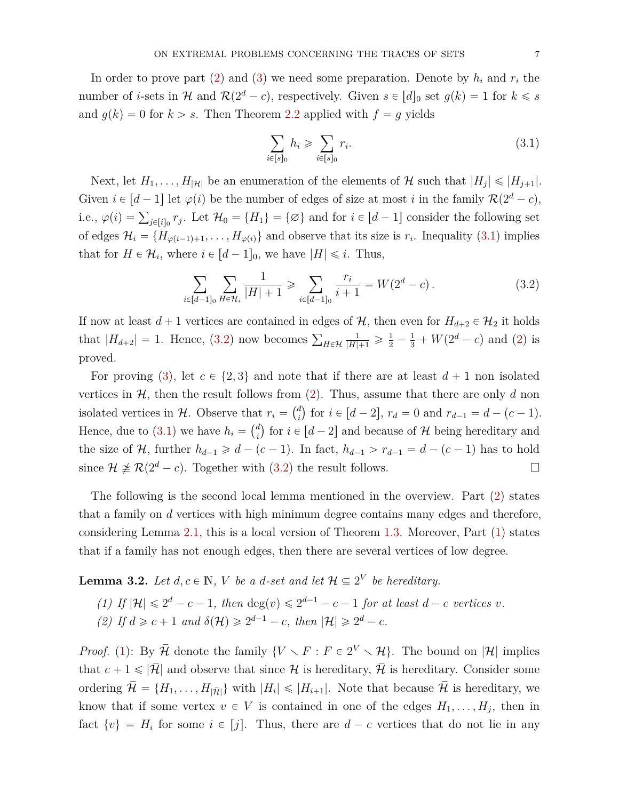In order to prove part  $(2)$  and  $(3)$  we need some preparation. Denote by  $h_i$  and  $r_i$  the number of *i*-sets in H and  $\mathcal{R}(2^d - c)$ , respectively. Given  $s \in [d]_0$  set  $g(k) = 1$  for  $k \leq s$ and  $g(k) = 0$  for  $k > s$ . Then Theorem [2.2](#page-6-0) applied with  $f = g$  yields

<span id="page-7-2"></span><span id="page-7-1"></span>
$$
\sum_{i \in [s]_0} h_i \geqslant \sum_{i \in [s]_0} r_i. \tag{3.1}
$$

Next, let  $H_1, \ldots, H_{|\mathcal{H}|}$  be an enumeration of the elements of  $\mathcal{H}$  such that  $|H_j| \leq |H_{j+1}|$ . Given  $i \in [d-1]$  let  $\varphi(i)$  be the number of edges of size at most *i* in the family  $\mathcal{R}(2^d - c)$ , i.e.,  $\varphi(i) = \sum_{j \in [i]_0} r_j$ . Let  $\mathcal{H}_0 = \{H_1\} = \{\emptyset\}$  and for  $i \in [d-1]$  consider the following set of edges  $\mathcal{H}_i = \{H_{\varphi(i-1)+1}, \ldots, H_{\varphi(i)}\}$  and observe that its size is  $r_i$ . Inequality [\(3.1\)](#page-7-1) implies that for  $H \in \mathcal{H}_i$ , where  $i \in [d-1]_0$ , we have  $|H| \leq i$ . Thus,

$$
\sum_{i \in [d-1]_0} \sum_{H \in \mathcal{H}_i} \frac{1}{|H|+1} \geqslant \sum_{i \in [d-1]_0} \frac{r_i}{i+1} = W(2^d - c) \,. \tag{3.2}
$$

If now at least  $d + 1$  vertices are contained in edges of  $H$ , then even for  $H_{d+2} \in \mathcal{H}_2$  it holds that  $|H_{d+2}| = 1$ . Hence, [\(3.2\)](#page-7-2) now becomes  $\sum_{H \in \mathcal{H}}$  $\frac{1}{|H|+1} \geqslant \frac{1}{2} - \frac{1}{3} + W(2^d - c)$  and [\(2\)](#page-6-4) is proved.

For proving [\(3\)](#page-6-5), let  $c \in \{2, 3\}$  and note that if there are at least  $d + 1$  non isolated vertices in  $H$ , then the result follows from [\(2\)](#page-6-4). Thus, assume that there are only *d* non isolated vertices in  $\mathcal{H}$ . Observe that  $r_i = \begin{pmatrix} d_i \\ i \end{pmatrix}$  $i$  and  $r_i = \binom{d}{i}$  for  $i \in [d-2]$ ,  $r_d = 0$  and  $r_{d-1} = d - (c - 1)$ . Hence, due to [\(3.1\)](#page-7-1) we have  $h_i = \begin{pmatrix} d_i \\ d_i \end{pmatrix}$  $i$ <sup>d</sup>) for  $i \in [d-2]$  and because of H being hereditary and the size of  $H$ , further  $h_{d-1} \geq d - (c - 1)$ . In fact,  $h_{d-1} > r_{d-1} = d - (c - 1)$  has to hold since  $\mathcal{H} \not\cong \mathcal{R}(2^d - c)$ . Together with [\(3.2\)](#page-7-2) the result follows.

The following is the second local lemma mentioned in the overview. Part [\(2\)](#page-7-3) states that a family on *d* vertices with high minimum degree contains many edges and therefore, considering Lemma [2.1,](#page-5-0) this is a local version of Theorem [1.3.](#page-3-0) Moreover, Part [\(1\)](#page-7-4) states that if a family has not enough edges, then there are several vertices of low degree.

<span id="page-7-4"></span><span id="page-7-0"></span>**Lemma 3.2.** *Let*  $d, c \in \mathbb{N}$ , *V be a d-set and let*  $\mathcal{H} \subseteq 2^V$  *be hereditary.* 

(1) If 
$$
|\mathcal{H}| \leq 2^d - c - 1
$$
, then  $\deg(v) \leq 2^{d-1} - c - 1$  for at least  $d - c$  vertices  $v$ .

<span id="page-7-3"></span>(2) If  $d \ge c + 1$  and  $\delta(\mathcal{H}) \ge 2^{d-1} - c$ , then  $|\mathcal{H}| \ge 2^d - c$ .

*Proof.* [\(1\)](#page-7-4): By  $\overline{\mathcal{H}}$  denote the family  $\{V \setminus F : F \in 2^V \setminus \mathcal{H}\}\$ . The bound on  $|\mathcal{H}|$  implies that  $c + 1 \leq |\bar{\mathcal{H}}|$  and observe that since  $\mathcal H$  is hereditary,  $\bar{\mathcal{H}}$  is hereditary. Consider some ordering  $\bar{\mathcal{H}} = \{H_1, \ldots, H_{|\bar{\mathcal{H}}|}\}\$  with  $|H_i| \leq |H_{i+1}|$ . Note that because  $\bar{\mathcal{H}}$  is hereditary, we know that if some vertex  $v \in V$  is contained in one of the edges  $H_1, \ldots, H_j$ , then in fact  $\{v\} = H_i$  for some  $i \in [j]$ . Thus, there are  $d - c$  vertices that do not lie in any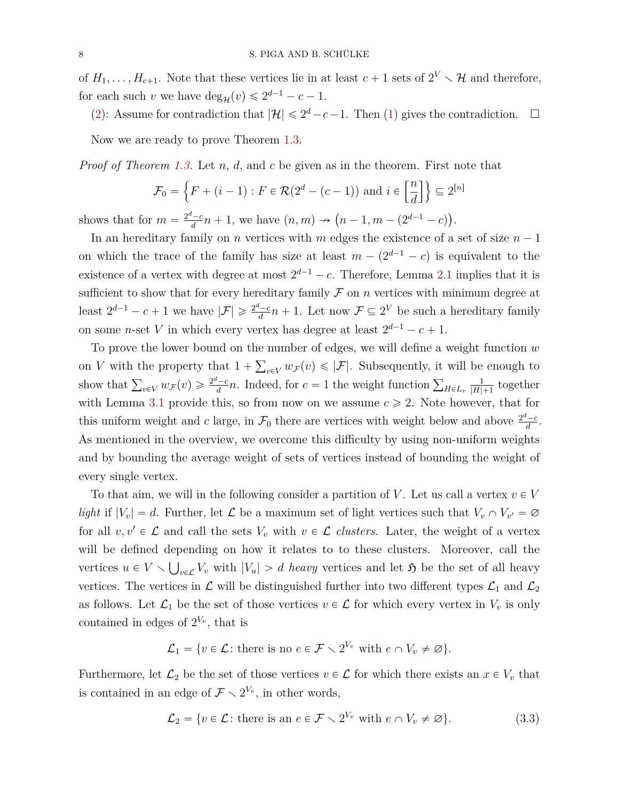of  $H_1, \ldots, H_{c+1}$ . Note that these vertices lie in at least  $c+1$  sets of  $2^V \setminus \mathcal{H}$  and therefore, for each such *v* we have  $\deg_{\mathcal{H}}(v) \leq 2^{d-1} - c - 1$ .

[\(2\)](#page-7-3): Assume for contradiction that  $|\mathcal{H}| \leq 2^d - c - 1$ . Then [\(1\)](#page-7-4) gives the contradiction.  $\Box$ 

Now we are ready to prove Theorem [1.3.](#page-3-0)

*Proof of Theorem [1.3.](#page-3-0)* Let *n*, *d*, and *c* be given as in the theorem. First note that !<br>! " ı)

$$
\mathcal{F}_0 = \left\{ F + (i - 1) : F \in \mathcal{R}(2^d - (c - 1)) \text{ and } i \in \left[ \frac{n}{d} \right] \right\} \subseteq 2^{[n]}
$$

shows that for  $m = \frac{2^d - c}{d}$  $\frac{d^2 - c}{dt} n + 1$ , we have  $(n, m) \to (n - 1, m - (2^{d-1} - c)).$ 

In an hereditary family on *n* vertices with *m* edges the existence of a set of size  $n - 1$ on which the trace of the family has size at least  $m - (2^{d-1} - c)$  is equivalent to the existence of a vertex with degree at most  $2^{d-1} - c$ . Therefore, Lemma [2.1](#page-5-0) implies that it is sufficient to show that for every hereditary family  $\mathcal F$  on  $n$  vertices with minimum degree at least  $2^{d-1} - c + 1$  we have  $|\mathcal{F}| \geqslant \frac{2^d - c}{d}$  $\frac{d^2-c}{d}n+1$ . Let now  $\mathcal{F} \subseteq 2^V$  be such a hereditary family on some *n*-set *V* in which every vertex has degree at least  $2^{d-1} - c + 1$ .

To prove the lower bound on the number of edges, we will define a weight function *w* ř on *V* with the property that  $1 + \sum_{v \in V} w_{\mathcal{F}}(v) \leq |\mathcal{F}|$ . Subsequently, it will be enough to show that  $\sum_{v \in V} w_{\mathcal{F}}(v) \geq \frac{2^d - c}{d}$  $\frac{d}{d}$   $\frac{d}{d}$  *n*. Indeed, for *c* = 1 the weight function  $\sum_{H \in L_v}$ 1  $\frac{1}{|H|+1}$  together with Lemma [3.1](#page-6-1) provide this, so from now on we assume  $c \geq 2$ . Note however, that for this uniform weight and *c* large, in  $\mathcal{F}_0$  there are vertices with weight below and above  $\frac{2^d-c}{d}$  $\frac{c-c}{d}$ . As mentioned in the overview, we overcome this difficulty by using non-uniform weights and by bounding the average weight of sets of vertices instead of bounding the weight of every single vertex.

To that aim, we will in the following consider a partition of V. Let us call a vertex  $v \in V$ *light* if  $|V_v| = d$ . Further, let  $\mathcal{L}$  be a maximum set of light vertices such that  $V_v \cap V_{v'} = \emptyset$ for all  $v, v' \in \mathcal{L}$  and call the sets  $V_v$  with  $v \in \mathcal{L}$  *clusters*. Later, the weight of a vertex will be defined depending on how it relates to to these clusters. Moreover, call the vertices  $u \in V \setminus \bigcup_{v \in \mathcal{L}} V_v$  with  $|V_u| > d$  *heavy* vertices and let  $\mathfrak{H}$  be the set of all heavy vertices. The vertices in  $\mathcal L$  will be distinguished further into two different types  $\mathcal L_1$  and  $\mathcal L_2$ as follows. Let  $\mathcal{L}_1$  be the set of those vertices  $v \in \mathcal{L}$  for which every vertex in  $V_v$  is only contained in edges of  $2^{V_v}$ , that is

$$
\mathcal{L}_1 = \{ v \in \mathcal{L} \colon \text{there is no } e \in \mathcal{F} \setminus 2^{V_v} \text{ with } e \cap V_v \neq \varnothing \}.
$$

Furthermore, let  $\mathcal{L}_2$  be the set of those vertices  $v \in \mathcal{L}$  for which there exists an  $x \in V_v$  that is contained in an edge of  $\mathcal{F} \setminus 2^{V_v}$ , in other words,

$$
\mathcal{L}_2 = \{ v \in \mathcal{L} \colon \text{there is an } e \in \mathcal{F} \setminus 2^{V_v} \text{ with } e \cap V_v \neq \varnothing \}. \tag{3.3}
$$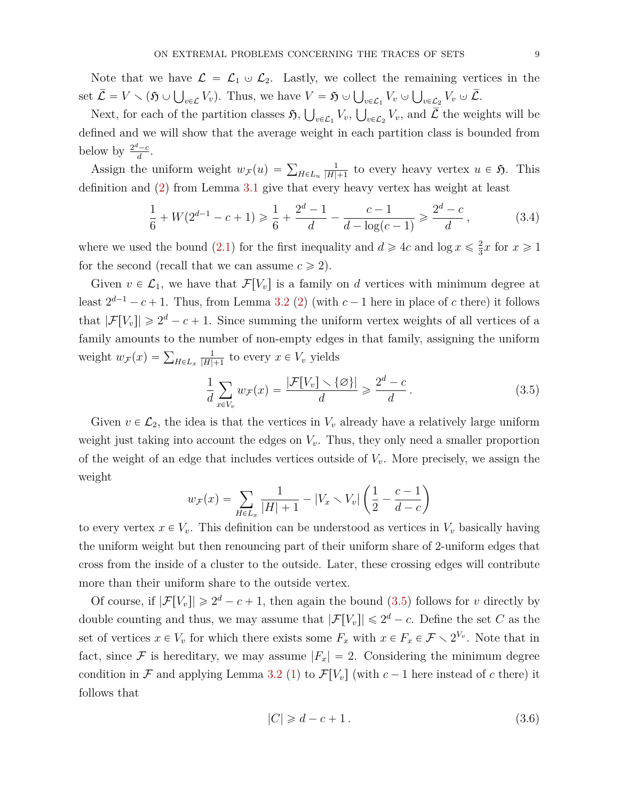Note that we have  $\mathcal{L} = \mathcal{L}_1 \cup \mathcal{L}_2$ . Lastly, we collect the remaining vertices in the set  $\overline{\mathcal{L}} = V \setminus (\mathfrak{H} \cup \bigcup_{v \in \mathcal{L}} V_v)$ . Thus, we have  $V = \mathfrak{H} \cup \bigcup_{v \in \mathcal{L}_1} V_v \cup \bigcup_{v \in \mathcal{L}_2} V_v \cup \overline{\mathcal{L}}$ .

Next, for each of the partition classes  $\mathfrak{H}$ ,  $\bigcup_{v \in \mathcal{L}_1} V_v$ ,  $\bigcup_{v \in \mathcal{L}_2} V_v$ , and  $\overline{\mathcal{L}}$  the weights will be defined and we will show that the average weight in each partition class is bounded from below by  $\frac{2^d-c}{d}$  $\frac{c-c}{d}$ .

Assign the uniform weight  $w_F(u) = \sum_{H \in L_u}$ 1  $\frac{1}{|H|+1}$  to every heavy vertex  $u \in \mathfrak{H}$ . This definition and [\(2\)](#page-6-4) from Lemma [3.1](#page-6-1) give that every heavy vertex has weight at least

$$
\frac{1}{6} + W(2^{d-1} - c + 1) \ge \frac{1}{6} + \frac{2^d - 1}{d} - \frac{c - 1}{d - \log(c - 1)} \ge \frac{2^d - c}{d},
$$
\n(3.4)

where we used the bound [\(2.1\)](#page-6-3) for the first inequality and  $d \geq 4c$  and  $\log x \leq \frac{2}{3}$  $\frac{2}{3}x$  for  $x \ge 1$ for the second (recall that we can assume  $c \geq 2$ ).

Given  $v \in \mathcal{L}_1$ , we have that  $\mathcal{F}[V_v]$  is a family on *d* vertices with minimum degree at least  $2^{d-1} - c + 1$ . Thus, from Lemma [3.2](#page-7-0) [\(2\)](#page-7-3) (with  $c - 1$  here in place of c there) it follows that  $|\mathcal{F}[V_v]| \geq 2^d - c + 1$ . Since summing the uniform vertex weights of all vertices of a family amounts to the number of non-empty edges in that family, assigning the uniform weight  $w_F(x) = \sum_{H \in L_x}$ 1  $\frac{1}{|H|+1}$  to every  $x \in V_v$  yields

<span id="page-9-2"></span><span id="page-9-0"></span>
$$
\frac{1}{d} \sum_{x \in V_v} w_{\mathcal{F}}(x) = \frac{|\mathcal{F}[V_v] \setminus \{\varnothing\}|}{d} \geqslant \frac{2^d - c}{d} \,. \tag{3.5}
$$

Given  $v \in \mathcal{L}_2$ , the idea is that the vertices in  $V_v$  already have a relatively large uniform weight just taking into account the edges on  $V_v$ . Thus, they only need a smaller proportion of the weight of an edge that includes vertices outside of *Vv*. More precisely, we assign the weight ˆ ˙

$$
w_{\mathcal{F}}(x) = \sum_{H \in L_x} \frac{1}{|H| + 1} - |V_x \setminus V_v| \left(\frac{1}{2} - \frac{c - 1}{d - c}\right)
$$

to every vertex  $x \in V_v$ . This definition can be understood as vertices in  $V_v$  basically having the uniform weight but then renouncing part of their uniform share of 2-uniform edges that cross from the inside of a cluster to the outside. Later, these crossing edges will contribute more than their uniform share to the outside vertex.

Of course, if  $|\mathcal{F}[V_v]| \ge 2^d - c + 1$ , then again the bound [\(3.5\)](#page-9-0) follows for *v* directly by double counting and thus, we may assume that  $|\mathcal{F}[V_v]| \leq 2^d - c$ . Define the set *C* as the set of vertices  $x \in V_v$  for which there exists some  $F_x$  with  $x \in F_x \in \mathcal{F} \setminus 2^{V_v}$ . Note that in fact, since F is hereditary, we may assume  $|F_x| = 2$ . Considering the minimum degree condition in F and applying Lemma [3.2](#page-7-0) [\(1\)](#page-7-4) to  $\mathcal{F}[V_v]$  (with  $c-1$  here instead of c there) it follows that

<span id="page-9-1"></span>
$$
|C| \ge d - c + 1. \tag{3.6}
$$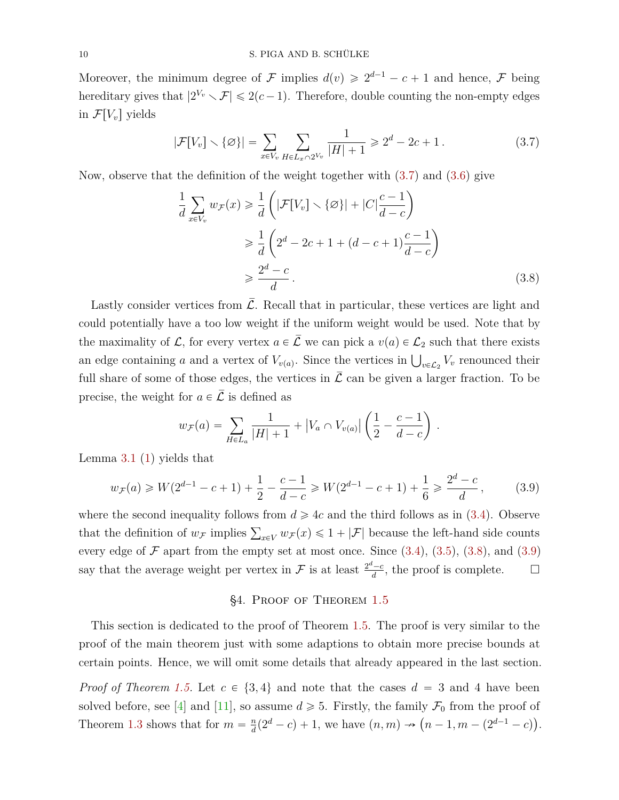Moreover, the minimum degree of F implies  $d(v) \geq 2^{d-1} - c + 1$  and hence, F being hereditary gives that  $|2^{V_v} \setminus \mathcal{F}| \leqslant 2(c-1)$ . Therefore, double counting the non-empty edges in  $\mathcal{F}[V_v]$  yields

$$
|\mathcal{F}[V_v] \setminus \{\varnothing\}| = \sum_{x \in V_v} \sum_{H \in L_x \cap 2^{V_v}} \frac{1}{|H| + 1} \ge 2^d - 2c + 1. \tag{3.7}
$$

Now, observe that the definition of the weight together with [\(3.7\)](#page-10-0) and [\(3.6\)](#page-9-1) give ˆ ˙

<span id="page-10-1"></span><span id="page-10-0"></span>
$$
\frac{1}{d} \sum_{x \in V_v} w_{\mathcal{F}}(x) \ge \frac{1}{d} \left( |\mathcal{F}[V_v] \setminus \{\varnothing\}| + |C|\frac{c-1}{d-c} \right)
$$
\n
$$
\ge \frac{1}{d} \left( 2^d - 2c + 1 + (d-c+1)\frac{c-1}{d-c} \right)
$$
\n
$$
\ge \frac{2^d - c}{d}.
$$
\n(3.8)

Lastly consider vertices from  $\mathcal{L}$ . Recall that in particular, these vertices are light and could potentially have a too low weight if the uniform weight would be used. Note that by the maximality of  $\mathcal{L}$ , for every vertex  $a \in \overline{\mathcal{L}}$  we can pick a  $v(a) \in \mathcal{L}_2$  such that there exists an edge containing *a* and a vertex of  $V_{v(a)}$ . Since the vertices in  $\bigcup_{v \in \mathcal{L}_2} V_v$  renounced their full share of some of those edges, the vertices in  $\mathcal L$  can be given a larger fraction. To be precise, the weight for  $a \in \overline{\mathcal{L}}$  is defined as ˆ ˙

$$
w_{\mathcal{F}}(a) = \sum_{H \in L_a} \frac{1}{|H|+1} + |V_a \cap V_{v(a)}| \left(\frac{1}{2} - \frac{c-1}{d-c}\right).
$$

Lemma [3.1](#page-6-1) [\(1\)](#page-6-6) yields that

$$
w_{\mathcal{F}}(a) \ge W(2^{d-1}-c+1) + \frac{1}{2} - \frac{c-1}{d-c} \ge W(2^{d-1}-c+1) + \frac{1}{6} \ge \frac{2^d-c}{d},\tag{3.9}
$$

where the second inequality follows from  $d \geq 4c$  and the third follows as in [\(3.4\)](#page-9-2). Observe that the definition of  $w_F$  implies  $\sum_{x \in V} w_F(x) \leq 1 + |\mathcal{F}|$  because the left-hand side counts every edge of  $\mathcal F$  apart from the empty set at most once. Since  $(3.4)$ ,  $(3.5)$ ,  $(3.8)$ , and  $(3.9)$ say that the average weight per vertex in  $\mathcal F$  is at least  $\frac{2^d-c}{d}$  $\frac{d}{d}$ , the proof is complete.  $\Box$ 

# <span id="page-10-2"></span>§4. Proof of Theorem [1.5](#page-3-1)

<span id="page-10-3"></span>This section is dedicated to the proof of Theorem [1.5.](#page-3-1) The proof is very similar to the proof of the main theorem just with some adaptions to obtain more precise bounds at certain points. Hence, we will omit some details that already appeared in the last section.

*Proof of Theorem [1.5.](#page-3-1)* Let  $c \in \{3, 4\}$  and note that the cases  $d = 3$  and 4 have been solved before, see [\[4\]](#page-16-6) and [\[11\]](#page-16-7), so assume  $d \ge 5$ . Firstly, the family  $\mathcal{F}_0$  from the proof of Theorem [1.3](#page-3-0) shows that for  $m = \frac{n}{d}$ assume  $a \ge 0$ . Firstly, the lamity  $J_0$  from the proof of  $\frac{n}{d}(2^d - c) + 1$ , we have  $(n, m) \rightarrow (n - 1, m - (2^{d-1} - c))$ .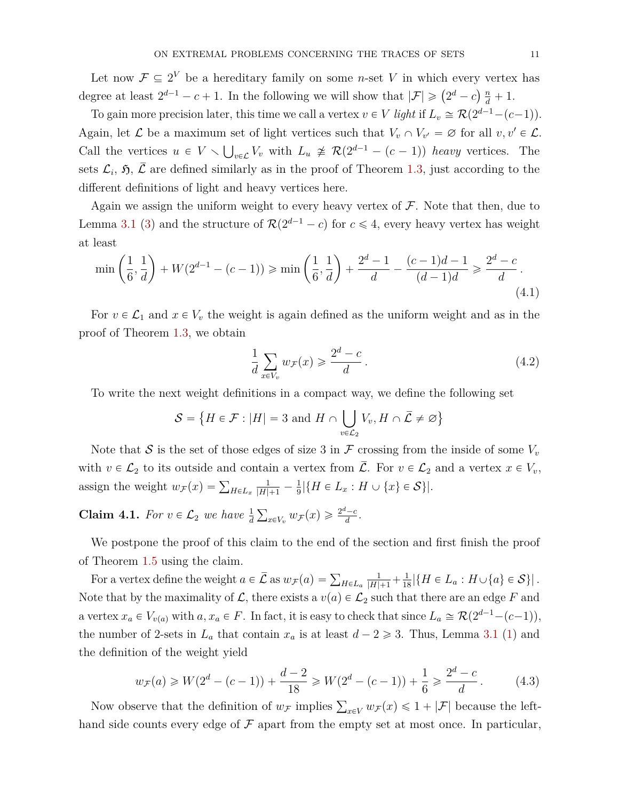Let now  $\mathcal{F} \subseteq 2^V$  be a hereditary family on some *n*-set *V* in which every vertex has Let now  $\mathcal{F} \subseteq \mathcal{Z}$  be a neteritary langle on some *n*-set  $V$  in which every vertex degree at least  $2^{d-1} - c + 1$ . In the following we will show that  $|\mathcal{F}| \geq (2^d - c) \frac{n}{d} + 1$ .

To gain more precision later, this time we call a vertex  $v \in V$  *light* if  $L_v \cong \mathcal{R}(2^{d-1}-(c-1))$ . Again, let  $\mathcal L$  be a maximum set of light vertices such that  $V_v \cap V_{v'} = \emptyset$  for all  $v, v' \in \mathcal L$ . Call the vertices  $u \in V \setminus \bigcup_{v \in \mathcal{L}} V_v$  with  $L_u \not\cong \mathcal{R}(2^{d-1} - (c-1))$  heavy vertices. The sets  $\mathcal{L}_i$ ,  $\mathfrak{H}, \bar{\mathcal{L}}$  are defined similarly as in the proof of Theorem [1.3,](#page-3-0) just according to the different definitions of light and heavy vertices here.

Again we assign the uniform weight to every heavy vertex of  $\mathcal F$ . Note that then, due to Lemma [3.1](#page-6-1) [\(3\)](#page-6-5) and the structure of  $\mathcal{R}(2^{d-1} - c)$  for  $c \leq 4$ , every heavy vertex has weight at least ˙ ˙

$$
\min\left(\frac{1}{6},\frac{1}{d}\right) + W(2^{d-1} - (c-1)) \ge \min\left(\frac{1}{6},\frac{1}{d}\right) + \frac{2^d - 1}{d} - \frac{(c-1)d - 1}{(d-1)d} \ge \frac{2^d - c}{d}.
$$
\n(4.1)

For  $v \in \mathcal{L}_1$  and  $x \in V_v$  the weight is again defined as the uniform weight and as in the proof of Theorem [1.3,](#page-3-0) we obtain

<span id="page-11-1"></span><span id="page-11-0"></span>
$$
\frac{1}{d} \sum_{x \in V_v} w_{\mathcal{F}}(x) \geqslant \frac{2^d - c}{d} \,. \tag{4.2}
$$

To write the next weight definitions in a compact way, we define the following set

$$
\mathcal{S} = \{ H \in \mathcal{F} : |H| = 3 \text{ and } H \cap \bigcup_{v \in \mathcal{L}_2} V_v, H \cap \overline{\mathcal{L}} \neq \varnothing \}
$$

Note that S is the set of those edges of size 3 in  $\mathcal F$  crossing from the inside of some  $V_v$ with  $v \in \mathcal{L}_2$  to its outside and contain a vertex from  $\overline{\mathcal{L}}$ . For  $v \in \mathcal{L}_2$  and a vertex  $x \in V_v$ , assign the weight  $w_F(x) = \sum_{H \in L_x}$  $\frac{1}{|H|+1} - \frac{1}{9}$  $\frac{1}{9}|\{H \in L_x : H \cup \{x\} \in S\}|.$ 

<span id="page-11-2"></span>**Claim 4.1.** *For*  $v \in \mathcal{L}_2$  *we have*  $\frac{1}{d}$  $\sum_{x \in V_v} w_{\mathcal{F}}(x) \geqslant \frac{2^d - c}{d}$  $\frac{c-c}{d}$ .

We postpone the proof of this claim to the end of the section and first finish the proof of Theorem [1.5](#page-3-1) using the claim.

For a vertex define the weight  $a \in \overline{\mathcal{L}}$  as  $w_{\mathcal{F}}(a) = \sum_{H \in L_a}$  $\frac{1}{|H|+1} + \frac{1}{18} |\{H \in L_a : H \cup \{a\} \in S\}|.$ Note that by the maximality of  $\mathcal{L}$ , there exists a  $v(a) \in \mathcal{L}_2$  such that there are an edge *F* and a vertex  $x_a \in V_{v(a)}$  with  $a, x_a \in F$ . In fact, it is easy to check that since  $L_a \cong \mathcal{R}(2^{d-1}-(c-1)),$ the number of 2-sets in  $L_a$  that contain  $x_a$  is at least  $d - 2 \geq 3$ . Thus, Lemma [3.1](#page-6-1) [\(1\)](#page-6-6) and the definition of the weight yield

<span id="page-11-3"></span>
$$
w_{\mathcal{F}}(a) \ge W(2^d - (c - 1)) + \frac{d - 2}{18} \ge W(2^d - (c - 1)) + \frac{1}{6} \ge \frac{2^d - c}{d}.
$$
 (4.3)

Now observe that the definition of  $w_F$  implies  $\sum_{x \in V} w_F(x) \leq 1 + |\mathcal{F}|$  because the lefthand side counts every edge of  $\mathcal F$  apart from the empty set at most once. In particular,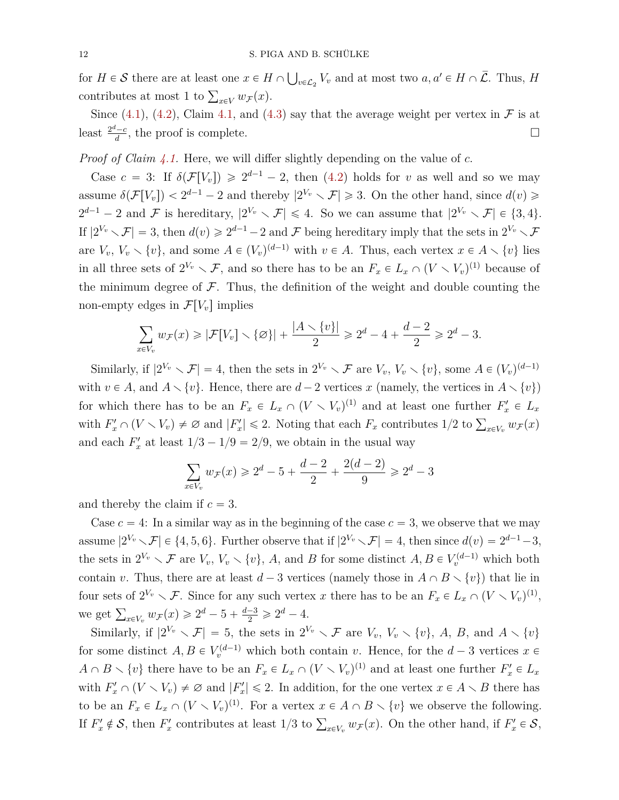for  $H \in \mathcal{S}$  there are at least one  $x \in H \cap \mathcal{S}$  $v \in \mathcal{L}_2$   $V_v$  and at most two  $a, a' \in H \cap \overline{\mathcal{L}}$ . Thus, *H* contributes at most 1 to  $\sum_{x \in V} w_{\mathcal{F}}(x)$ .

Since [\(4.1\)](#page-11-0), [\(4.2\)](#page-11-1), Claim [4.1,](#page-11-2) and [\(4.3\)](#page-11-3) say that the average weight per vertex in  $\mathcal F$  is at least  $\frac{2^d-c}{d}$  $\frac{d}{d}$ , the proof is complete.

*Proof of Claim [4.1.](#page-11-2)* Here, we will differ slightly depending on the value of *c*.

Case  $c = 3$ : If  $\delta(\mathcal{F}[V_v]) \geq 2^{d-1} - 2$ , then [\(4.2\)](#page-11-1) holds for *v* as well and so we may assume  $\delta(\mathcal{F}[V_v]) < 2^{d-1} - 2$  and thereby  $|2^{V_v} \setminus \mathcal{F}| \geq 3$ . On the other hand, since  $d(v) \geq$  $2^{d-1} - 2$  and F is hereditary,  $|2^{V_v} \setminus \mathcal{F}| \leq 4$ . So we can assume that  $|2^{V_v} \setminus \mathcal{F}| \in \{3, 4\}$ . If  $|2^{V_v} \setminus \mathcal{F}| = 3$ , then  $d(v) \ge 2^{d-1} - 2$  and  $\mathcal F$  being hereditary imply that the sets in  $2^{V_v} \setminus \mathcal{F}$ are  $V_v$ ,  $V_v \setminus \{v\}$ , and some  $A \in (V_v)^{(d-1)}$  with  $v \in A$ . Thus, each vertex  $x \in A \setminus \{v\}$  lies in all three sets of  $2^{V_v} \setminus \mathcal{F}$ , and so there has to be an  $F_x \in L_x \cap (V \setminus V_v)^{(1)}$  because of the minimum degree of  $\mathcal F$ . Thus, the definition of the weight and double counting the non-empty edges in  $\mathcal{F}[V_v]$  implies

$$
\sum_{x\in V_v} w_{\mathcal{F}}(x)\geqslant |\mathcal{F}[V_v]\smallsetminus \{\varnothing\}|+\frac{|A\smallsetminus \{v\}|}{2}\geqslant 2^d-4+\frac{d-2}{2}\geqslant 2^d-3.
$$

Similarly, if  $|2^{V_v} \setminus \mathcal{F}| = 4$ , then the sets in  $2^{V_v} \setminus \mathcal{F}$  are  $V_v$ ,  $V_v \setminus \{v\}$ , some  $A \in (V_v)^{(d-1)}$ with  $v \in A$ , and  $A \setminus \{v\}$ . Hence, there are  $d-2$  vertices *x* (namely, the vertices in  $A \setminus \{v\}$ ) for which there has to be an  $F_x \in L_x \cap (V \setminus V_v)^{(1)}$  and at least one further  $F'_x \in L_x$ with  $F'_x \cap (V \setminus V_v) \neq \emptyset$  and  $|F'_x| \leq 2$ . Noting that each  $F_x$  contributes  $1/2$  to  $\sum_{x \in V_v} w_{\mathcal{F}}(x)$ and each  $F'_x$  at least  $1/3 - 1/9 = 2/9$ , we obtain in the usual way

$$
\sum_{x \in V_v} w_{\mathcal{F}}(x) \geq 2^d - 5 + \frac{d-2}{2} + \frac{2(d-2)}{9} \geq 2^d - 3
$$

and thereby the claim if  $c = 3$ .

Case  $c = 4$ : In a similar way as in the beginning of the case  $c = 3$ , we observe that we may assume  $|2^{V_v} \setminus \mathcal{F}| \in \{4, 5, 6\}$ . Further observe that if  $|2^{V_v} \setminus \mathcal{F}| = 4$ , then since  $d(v) = 2^{d-1} - 3$ , the sets in  $2^{V_v} \setminus \mathcal{F}$  are  $V_v$ ,  $V_v \setminus \{v\}$ , *A*, and *B* for some distinct  $A, B \in V_v^{(d-1)}$  which both contain *v*. Thus, there are at least  $d-3$  vertices (namely those in  $A \cap B \setminus \{v\}$ ) that lie in four sets of  $2^{V_v} \setminus \mathcal{F}$ . Since for any such vertex *x* there has to be an  $F_x \in L_x \cap (V \setminus V_v)^{(1)}$ , we get  $\sum_{x \in V_v} w_{\mathcal{F}}(x) \geq 2^d - 5 + \frac{d-3}{2} \geq 2^d - 4$ .

Similarly, if  $|2^{V_v} \setminus \mathcal{F}| = 5$ , the sets in  $2^{V_v} \setminus \mathcal{F}$  are  $V_v$ ,  $V_v \setminus \{v\}$ , A, B, and  $A \setminus \{v\}$ for some distinct  $A, B \in V_v^{(d-1)}$  which both contain *v*. Hence, for the  $d-3$  vertices  $x \in$  $A \cap B \setminus \{v\}$  there have to be an  $F_x \in L_x \cap (V \setminus V_v)^{(1)}$  and at least one further  $F'_x \in L_x$ with  $F'_x \cap (V \setminus V_v) \neq \emptyset$  and  $|F'_x| \leq 2$ . In addition, for the one vertex  $x \in A \setminus B$  there has to be an  $F_x \in L_x \cap (V \setminus V_v)^{(1)}$ . For a vertex  $x \in A \cap B \setminus \{v\}$  we observe the following. If  $F'_x \notin S$ , then  $F'_x$  contributes at least  $1/3$  to  $\sum_{x \in V_v} w_{\mathcal{F}}(x)$ . On the other hand, if  $F'_x \in S$ ,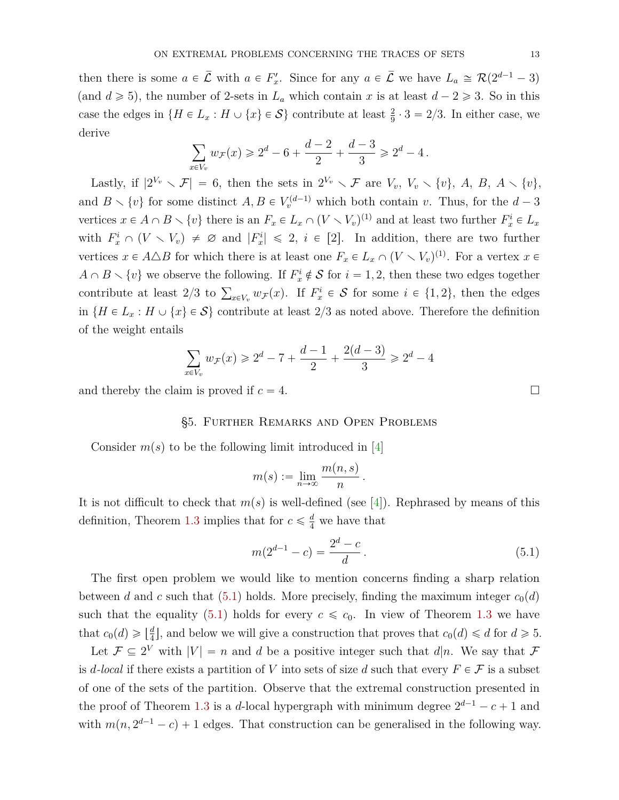then there is some  $a \in \overline{\mathcal{L}}$  with  $a \in F'_x$ . Since for any  $a \in \overline{\mathcal{L}}$  we have  $L_a \cong \mathcal{R}(2^{d-1}-3)$ (and  $d \ge 5$ ), the number of 2-sets in  $L_a$  which contain *x* is at least  $d - 2 \ge 3$ . So in this case the edges in  $\{H \in L_x : H \cup \{x\} \in S\}$  contribute at least  $\frac{2}{9} \cdot 3 = 2/3$ . In either case, we derive

$$
\sum_{x \in V_v} w_{\mathcal{F}}(x) \geq 2^d - 6 + \frac{d-2}{2} + \frac{d-3}{3} \geq 2^d - 4.
$$

Lastly, if  $|2^{V_v} \setminus \mathcal{F}| = 6$ , then the sets in  $2^{V_v} \setminus \mathcal{F}$  are  $V_v$ ,  $V_v \setminus \{v\}$ ,  $A, B, A \setminus \{v\}$ , and  $B \setminus \{v\}$  for some distinct  $A, B \in V_v^{(d-1)}$  which both contain *v*. Thus, for the  $d-3$ vertices  $x \in A \cap B \setminus \{v\}$  there is an  $F_x \in L_x \cap (V \setminus V_v)^{(1)}$  and at least two further  $F_x^i \in L_x$ with  $F_x^i \cap (V \setminus V_v) \neq \emptyset$  and  $|F_x^i| \leq 2$ ,  $i \in [2]$ . In addition, there are two further vertices  $x \in A \triangle B$  for which there is at least one  $F_x \in L_x \cap (V \setminus V_y)^{(1)}$ . For a vertex  $x \in$  $A \cap B \setminus \{v\}$  we observe the following. If  $F_x^i \notin \mathcal{S}$  for  $i = 1, 2$ , then these two edges together contribute at least 2/3 to  $\sum_{x \in V_v} w_{\mathcal{F}}(x)$ . If  $F_x^i \in \mathcal{S}$  for some  $i \in \{1, 2\}$ , then the edges contribute at least 2/3 to  $\sum_{x \in V_v} w_{\mathcal{F}}(x)$ . If  $F_x^i \in \mathcal{S}$  for some  $i \in \{1, 2\}$ , then the edges in  ${H \in L_x : H \cup \{x\} \in S}$  contribute at least 2/3 as noted above. Therefore the definition of the weight entails

$$
\sum_{x \in V_v} w_{\mathcal{F}}(x) \geq 2^d - 7 + \frac{d-1}{2} + \frac{2(d-3)}{3} \geq 2^d - 4
$$

<span id="page-13-0"></span>and thereby the claim is proved if  $c = 4$ .

### §5. Further Remarks and Open Problems

Consider  $m(s)$  to be the following limit introduced in [\[4\]](#page-16-6)

$$
m(s) := \lim_{n \to \infty} \frac{m(n, s)}{n}.
$$

It is not difficult to check that  $m(s)$  is well-defined (see [\[4\]](#page-16-6)). Rephrased by means of this definition, Theorem [1.3](#page-3-0) implies that for  $c \leq \frac{d}{4}$  we have that

$$
m(2^{d-1} - c) = \frac{2^d - c}{d}.
$$
\n(5.1)

The first open problem we would like to mention concerns finding a sharp relation between *d* and *c* such that [\(5.1\)](#page-13-1) holds. More precisely, finding the maximum integer  $c_0(d)$ such that the equality [\(5.1\)](#page-13-1) holds for every  $c \leq c_0$ . In view of Theorem [1.3](#page-3-0) we have that  $c_0(d) \geqslant \lfloor \frac{d}{4} \rfloor$  $\frac{d}{4}$ , and below we will give a construction that proves that  $c_0(d) \leq d$  for  $d \geq 5$ .

Let  $\mathcal{F} \subseteq 2^V$  with  $|V| = n$  and *d* be a positive integer such that *d*|*n*. We say that  $\mathcal{F}$ is *d*-local if there exists a partition of *V* into sets of size *d* such that every  $F \in \mathcal{F}$  is a subset of one of the sets of the partition. Observe that the extremal construction presented in the proof of Theorem [1.3](#page-3-0) is a *d*-local hypergraph with minimum degree  $2^{d-1} - c + 1$  and with  $m(n, 2^{d-1} - c) + 1$  edges. That construction can be generalised in the following way.

<span id="page-13-1"></span>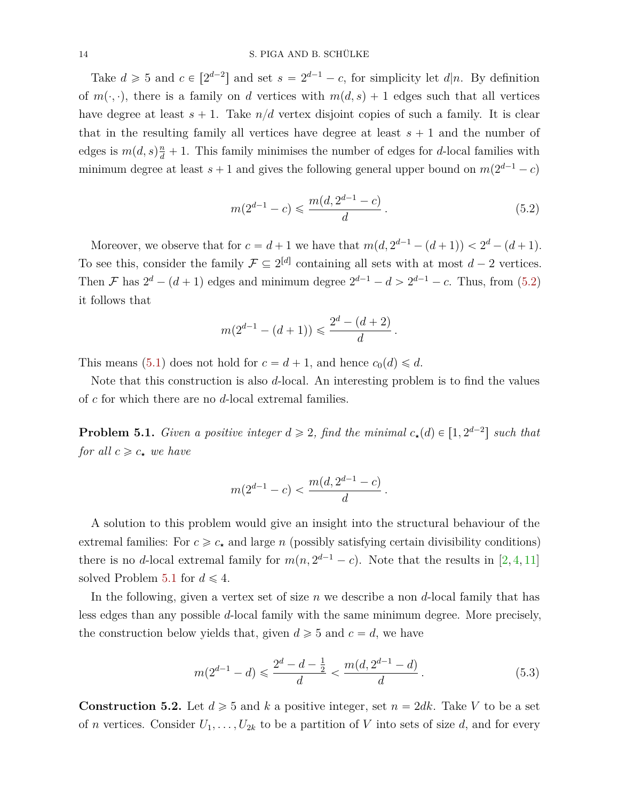Take  $d \ge 5$  and  $c \in [2^{d-2}]$  and set  $s = 2^{d-1} - c$ , for simplicity let  $d|n$ . By definition of  $m(\cdot, \cdot)$ , there is a family on *d* vertices with  $m(d, s) + 1$  edges such that all vertices have degree at least  $s + 1$ . Take  $n/d$  vertex disjoint copies of such a family. It is clear that in the resulting family all vertices have degree at least  $s + 1$  and the number of edges is  $m(d, s)\frac{n}{d} + 1$ . This family minimises the number of edges for *d*-local families with minimum degree at least  $s + 1$  and gives the following general upper bound on  $m(2^{d-1} - c)$ 

<span id="page-14-1"></span>
$$
m(2^{d-1} - c) \leq \frac{m(d, 2^{d-1} - c)}{d}.
$$
\n(5.2)

Moreover, we observe that for  $c = d + 1$  we have that  $m(d, 2^{d-1} - (d + 1)) < 2^d - (d + 1)$ . To see this, consider the family  $\mathcal{F} \subseteq 2^{[d]}$  containing all sets with at most  $d-2$  vertices. Then F has  $2^d - (d+1)$  edges and minimum degree  $2^{d-1} - d > 2^{d-1} - c$ . Thus, from [\(5.2\)](#page-14-1) it follows that

$$
m(2^{d-1} - (d+1)) \leqslant \frac{2^d - (d+2)}{d}.
$$

This means [\(5.1\)](#page-13-1) does not hold for  $c = d + 1$ , and hence  $c_0(d) \leq d$ .

Note that this construction is also *d*-local. An interesting problem is to find the values of *c* for which there are no *d*-local extremal families.

<span id="page-14-2"></span>**Problem 5.1.** *Given a positive integer*  $d \geq 2$ *, find the minimal*  $c_{\star}(d) \in [1, 2^{d-2}]$  *such that for all*  $c \geq c_{\star}$  *we have* 

$$
m(2^{d-1}-c) < \frac{m(d, 2^{d-1}-c)}{d}.
$$

A solution to this problem would give an insight into the structural behaviour of the extremal families: For  $c \geq c_{\star}$  and large *n* (possibly satisfying certain divisibility conditions) there is no *d*-local extremal family for  $m(n, 2^{d-1} - c)$ . Note that the results in [\[2,](#page-15-0) [4,](#page-16-6) [11\]](#page-16-7) solved Problem [5.1](#page-14-2) for  $d \leq 4$ .

In the following, given a vertex set of size *n* we describe a non *d*-local family that has less edges than any possible *d*-local family with the same minimum degree. More precisely, the construction below yields that, given  $d \geq 5$  and  $c = d$ , we have

<span id="page-14-3"></span>
$$
m(2^{d-1} - d) \leqslant \frac{2^d - d - \frac{1}{2}}{d} < \frac{m(d, 2^{d-1} - d)}{d} \,. \tag{5.3}
$$

<span id="page-14-0"></span>**Construction 5.2.** Let  $d \ge 5$  and  $k$  a positive integer, set  $n = 2dk$ . Take V to be a set of *n* vertices. Consider  $U_1, \ldots, U_{2k}$  to be a partition of *V* into sets of size *d*, and for every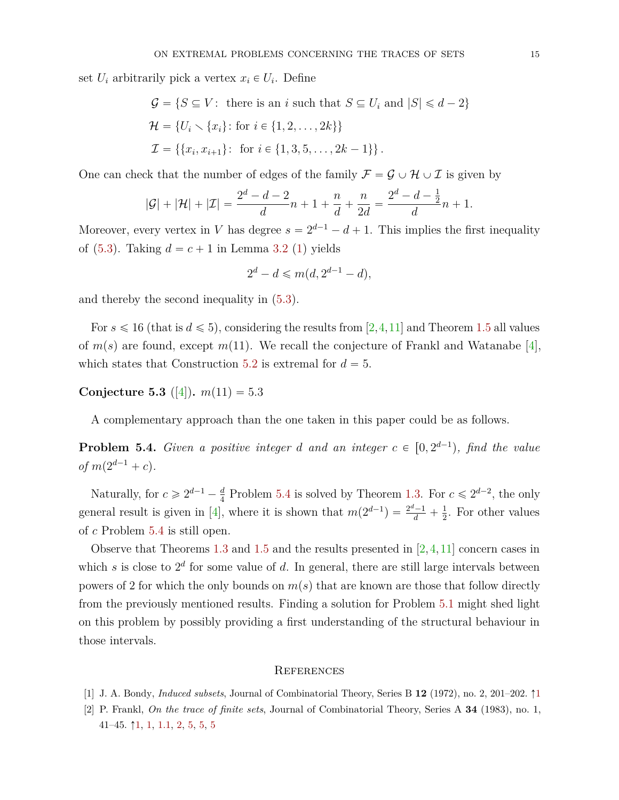set  $U_i$  arbitrarily pick a vertex  $x_i \in U_i$ . Define

$$
G = \{ S \subseteq V : \text{ there is an } i \text{ such that } S \subseteq U_i \text{ and } |S| \le d - 2 \}
$$
  

$$
\mathcal{H} = \{ U_i \setminus \{x_i\} : \text{ for } i \in \{1, 2, ..., 2k\} \}
$$
  

$$
\mathcal{I} = \{ \{x_i, x_{i+1}\} : \text{ for } i \in \{1, 3, 5, ..., 2k - 1\} \}.
$$

One can check that the number of edges of the family  $\mathcal{F} = \mathcal{G} \cup \mathcal{H} \cup \mathcal{I}$  is given by

$$
|\mathcal{G}| + |\mathcal{H}| + |\mathcal{I}| = \frac{2^d - d - 2}{d}n + 1 + \frac{n}{d} + \frac{n}{2d} = \frac{2^d - d - \frac{1}{2}}{d}n + 1.
$$

Moreover, every vertex in *V* has degree  $s = 2^{d-1} - d + 1$ . This implies the first inequality of  $(5.3)$ . Taking  $d = c + 1$  in Lemma [3.2](#page-7-0) [\(1\)](#page-7-4) yields

$$
2^d - d \le m(d, 2^{d-1} - d),
$$

and thereby the second inequality in [\(5.3\)](#page-14-3).

For  $s \leq 16$  (that is  $d \leq 5$ ), considering the results from [\[2,](#page-15-0)[4,](#page-16-6)[11\]](#page-16-7) and Theorem [1.5](#page-3-1) all values of  $m(s)$  are found, except  $m(11)$ . We recall the conjecture of Frankl and Watanabe [\[4\]](#page-16-6), which states that Construction [5.2](#page-14-0) is extremal for  $d = 5$ .

<span id="page-15-3"></span>**Conjecture 5.3** ([\[4\]](#page-16-6)).  $m(11) = 5.3$ 

A complementary approach than the one taken in this paper could be as follows.

<span id="page-15-2"></span>**Problem 5.4.** *Given a positive integer d and an integer*  $c \in [0, 2^{d-1})$ *, find the value*  $of m(2^{d-1} + c)$ .

Naturally, for  $c \ge 2^{d-1} - \frac{d}{4}$  $\frac{d}{4}$  Problem [5.4](#page-15-2) is solved by Theorem [1.3.](#page-3-0) For  $c \leq 2^{d-2}$ , the only general result is given in [\[4\]](#page-16-6), where it is shown that  $m(2^{d-1}) = \frac{2^d-1}{d} + \frac{1}{2}$  $\frac{1}{2}$ . For other values of *c* Problem [5.4](#page-15-2) is still open.

Observe that Theorems [1.3](#page-3-0) and [1.5](#page-3-1) and the results presented in  $[2,4,11]$  $[2,4,11]$  $[2,4,11]$  concern cases in which *s* is close to  $2^d$  for some value of *d*. In general, there are still large intervals between powers of 2 for which the only bounds on  $m(s)$  that are known are those that follow directly from the previously mentioned results. Finding a solution for Problem [5.1](#page-14-2) might shed light on this problem by possibly providing a first understanding of the structural behaviour in those intervals.

#### **REFERENCES**

- <span id="page-15-1"></span><span id="page-15-0"></span>[1] J. A. Bondy, *Induced subsets*, Journal of Combinatorial Theory, Series B **12** (1972), no. 2, 201–202. Ò[1](#page-2-1)
- [2] P. Frankl, *On the trace of finite sets*, Journal of Combinatorial Theory, Series A **34** (1983), no. 1, 41–4[5](#page-15-2).  $\uparrow$  [1,](#page-3-3) 1, 1, 1, [2,](#page-5-1) [5,](#page-14-0) 5, 5